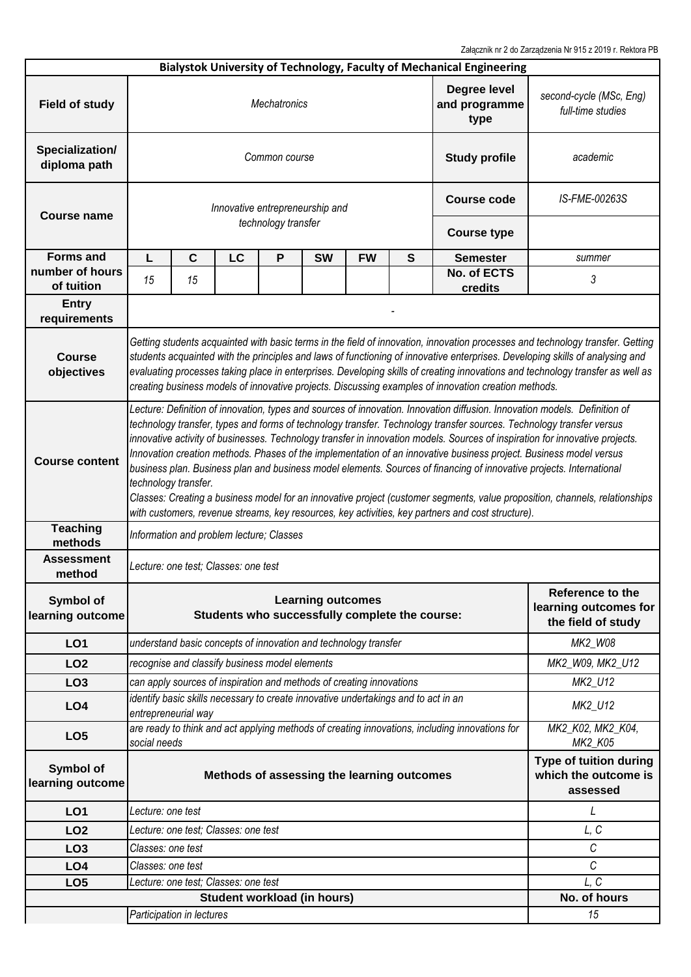Załącznik nr 2 do Zarządzenia Nr 915 z 2019 r. Rektora PB

|                                    |                                                                                                                                                                                                                                                                                                                                                                                                                                                                                                                                                                                                                                                                                                                                                                                                                                                                                              |                                                |    |                     |                                                                                    |                    |                                                                 | Bialystok University of Technology, Faculty of Mechanical Engineering                          |                              |  |  |  |  |
|------------------------------------|----------------------------------------------------------------------------------------------------------------------------------------------------------------------------------------------------------------------------------------------------------------------------------------------------------------------------------------------------------------------------------------------------------------------------------------------------------------------------------------------------------------------------------------------------------------------------------------------------------------------------------------------------------------------------------------------------------------------------------------------------------------------------------------------------------------------------------------------------------------------------------------------|------------------------------------------------|----|---------------------|------------------------------------------------------------------------------------|--------------------|-----------------------------------------------------------------|------------------------------------------------------------------------------------------------|------------------------------|--|--|--|--|
| <b>Field of study</b>              | Degree level<br><b>Mechatronics</b><br>and programme<br>type                                                                                                                                                                                                                                                                                                                                                                                                                                                                                                                                                                                                                                                                                                                                                                                                                                 |                                                |    |                     |                                                                                    |                    |                                                                 | second-cycle (MSc, Eng)<br>full-time studies                                                   |                              |  |  |  |  |
| Specialization/<br>diploma path    | Common course<br><b>Study profile</b>                                                                                                                                                                                                                                                                                                                                                                                                                                                                                                                                                                                                                                                                                                                                                                                                                                                        |                                                |    |                     |                                                                                    |                    |                                                                 | academic                                                                                       |                              |  |  |  |  |
| <b>Course name</b>                 |                                                                                                                                                                                                                                                                                                                                                                                                                                                                                                                                                                                                                                                                                                                                                                                                                                                                                              |                                                |    |                     | Innovative entrepreneurship and                                                    | <b>Course code</b> | IS-FME-00263S                                                   |                                                                                                |                              |  |  |  |  |
|                                    |                                                                                                                                                                                                                                                                                                                                                                                                                                                                                                                                                                                                                                                                                                                                                                                                                                                                                              |                                                |    | technology transfer |                                                                                    |                    |                                                                 | <b>Course type</b>                                                                             |                              |  |  |  |  |
| <b>Forms and</b>                   | L                                                                                                                                                                                                                                                                                                                                                                                                                                                                                                                                                                                                                                                                                                                                                                                                                                                                                            | $\mathbf c$                                    | LC | P                   | <b>SW</b>                                                                          | <b>FW</b>          | $\mathbf{s}$                                                    | <b>Semester</b>                                                                                | summer                       |  |  |  |  |
| number of hours<br>of tuition      | 15                                                                                                                                                                                                                                                                                                                                                                                                                                                                                                                                                                                                                                                                                                                                                                                                                                                                                           | 15                                             |    |                     |                                                                                    |                    |                                                                 | <b>No. of ECTS</b><br>credits                                                                  | 3                            |  |  |  |  |
| <b>Entry</b><br>requirements       |                                                                                                                                                                                                                                                                                                                                                                                                                                                                                                                                                                                                                                                                                                                                                                                                                                                                                              |                                                |    |                     |                                                                                    |                    |                                                                 |                                                                                                |                              |  |  |  |  |
| <b>Course</b><br>objectives        | Getting students acquainted with basic terms in the field of innovation, innovation processes and technology transfer. Getting<br>students acquainted with the principles and laws of functioning of innovative enterprises. Developing skills of analysing and<br>evaluating processes taking place in enterprises. Developing skills of creating innovations and technology transfer as well as<br>creating business models of innovative projects. Discussing examples of innovation creation methods.                                                                                                                                                                                                                                                                                                                                                                                    |                                                |    |                     |                                                                                    |                    |                                                                 |                                                                                                |                              |  |  |  |  |
| <b>Course content</b>              | Lecture: Definition of innovation, types and sources of innovation. Innovation diffusion. Innovation models. Definition of<br>technology transfer, types and forms of technology transfer. Technology transfer sources. Technology transfer versus<br>innovative activity of businesses. Technology transfer in innovation models. Sources of inspiration for innovative projects.<br>Innovation creation methods. Phases of the implementation of an innovative business project. Business model versus<br>business plan. Business plan and business model elements. Sources of financing of innovative projects. International<br>technology transfer.<br>Classes: Creating a business model for an innovative project (customer segments, value proposition, channels, relationships<br>with customers, revenue streams, key resources, key activities, key partners and cost structure). |                                                |    |                     |                                                                                    |                    |                                                                 |                                                                                                |                              |  |  |  |  |
| <b>Teaching</b><br>methods         | Information and problem lecture; Classes                                                                                                                                                                                                                                                                                                                                                                                                                                                                                                                                                                                                                                                                                                                                                                                                                                                     |                                                |    |                     |                                                                                    |                    |                                                                 |                                                                                                |                              |  |  |  |  |
| <b>Assessment</b><br>method        | Lecture: one test; Classes: one test                                                                                                                                                                                                                                                                                                                                                                                                                                                                                                                                                                                                                                                                                                                                                                                                                                                         |                                                |    |                     |                                                                                    |                    |                                                                 |                                                                                                |                              |  |  |  |  |
| Symbol of<br>learning outcome      | <b>Learning outcomes</b><br>Students who successfully complete the course:                                                                                                                                                                                                                                                                                                                                                                                                                                                                                                                                                                                                                                                                                                                                                                                                                   |                                                |    |                     |                                                                                    |                    | Reference to the<br>learning outcomes for<br>the field of study |                                                                                                |                              |  |  |  |  |
| <b>LO1</b>                         |                                                                                                                                                                                                                                                                                                                                                                                                                                                                                                                                                                                                                                                                                                                                                                                                                                                                                              |                                                |    |                     | understand basic concepts of innovation and technology transfer                    |                    |                                                                 |                                                                                                | MK2_W08                      |  |  |  |  |
| LO <sub>2</sub>                    |                                                                                                                                                                                                                                                                                                                                                                                                                                                                                                                                                                                                                                                                                                                                                                                                                                                                                              | recognise and classify business model elements |    |                     |                                                                                    |                    |                                                                 |                                                                                                | MK2_W09, MK2_U12             |  |  |  |  |
| LO <sub>3</sub>                    |                                                                                                                                                                                                                                                                                                                                                                                                                                                                                                                                                                                                                                                                                                                                                                                                                                                                                              |                                                |    |                     | can apply sources of inspiration and methods of creating innovations               |                    |                                                                 |                                                                                                | MK2_U12                      |  |  |  |  |
| LO <sub>4</sub>                    |                                                                                                                                                                                                                                                                                                                                                                                                                                                                                                                                                                                                                                                                                                                                                                                                                                                                                              | entrepreneurial way                            |    |                     | identify basic skills necessary to create innovative undertakings and to act in an |                    |                                                                 |                                                                                                | MK2_U12                      |  |  |  |  |
| LO <sub>5</sub>                    | social needs                                                                                                                                                                                                                                                                                                                                                                                                                                                                                                                                                                                                                                                                                                                                                                                                                                                                                 |                                                |    |                     |                                                                                    |                    |                                                                 | are ready to think and act applying methods of creating innovations, including innovations for | MK2_K02, MK2_K04,<br>MK2_K05 |  |  |  |  |
| Symbol of<br>learning outcome      | Methods of assessing the learning outcomes                                                                                                                                                                                                                                                                                                                                                                                                                                                                                                                                                                                                                                                                                                                                                                                                                                                   |                                                |    |                     |                                                                                    |                    | Type of tuition during<br>which the outcome is<br>assessed      |                                                                                                |                              |  |  |  |  |
| <b>LO1</b>                         | Lecture: one test                                                                                                                                                                                                                                                                                                                                                                                                                                                                                                                                                                                                                                                                                                                                                                                                                                                                            |                                                |    |                     |                                                                                    |                    |                                                                 |                                                                                                | L                            |  |  |  |  |
| LO <sub>2</sub>                    |                                                                                                                                                                                                                                                                                                                                                                                                                                                                                                                                                                                                                                                                                                                                                                                                                                                                                              | Lecture: one test; Classes: one test           |    |                     |                                                                                    |                    |                                                                 |                                                                                                | L, C                         |  |  |  |  |
| LO <sub>3</sub>                    | Classes: one test                                                                                                                                                                                                                                                                                                                                                                                                                                                                                                                                                                                                                                                                                                                                                                                                                                                                            |                                                |    |                     |                                                                                    |                    |                                                                 |                                                                                                | $\cal C$                     |  |  |  |  |
| LO <sub>4</sub>                    | Classes: one test                                                                                                                                                                                                                                                                                                                                                                                                                                                                                                                                                                                                                                                                                                                                                                                                                                                                            |                                                |    |                     |                                                                                    |                    |                                                                 |                                                                                                | C                            |  |  |  |  |
| LO <sub>5</sub>                    |                                                                                                                                                                                                                                                                                                                                                                                                                                                                                                                                                                                                                                                                                                                                                                                                                                                                                              | L, C<br>Lecture: one test; Classes: one test   |    |                     |                                                                                    |                    |                                                                 |                                                                                                |                              |  |  |  |  |
| <b>Student workload (in hours)</b> |                                                                                                                                                                                                                                                                                                                                                                                                                                                                                                                                                                                                                                                                                                                                                                                                                                                                                              |                                                |    |                     |                                                                                    |                    | No. of hours                                                    |                                                                                                |                              |  |  |  |  |
|                                    |                                                                                                                                                                                                                                                                                                                                                                                                                                                                                                                                                                                                                                                                                                                                                                                                                                                                                              | Participation in lectures                      |    |                     |                                                                                    |                    |                                                                 |                                                                                                | 15                           |  |  |  |  |